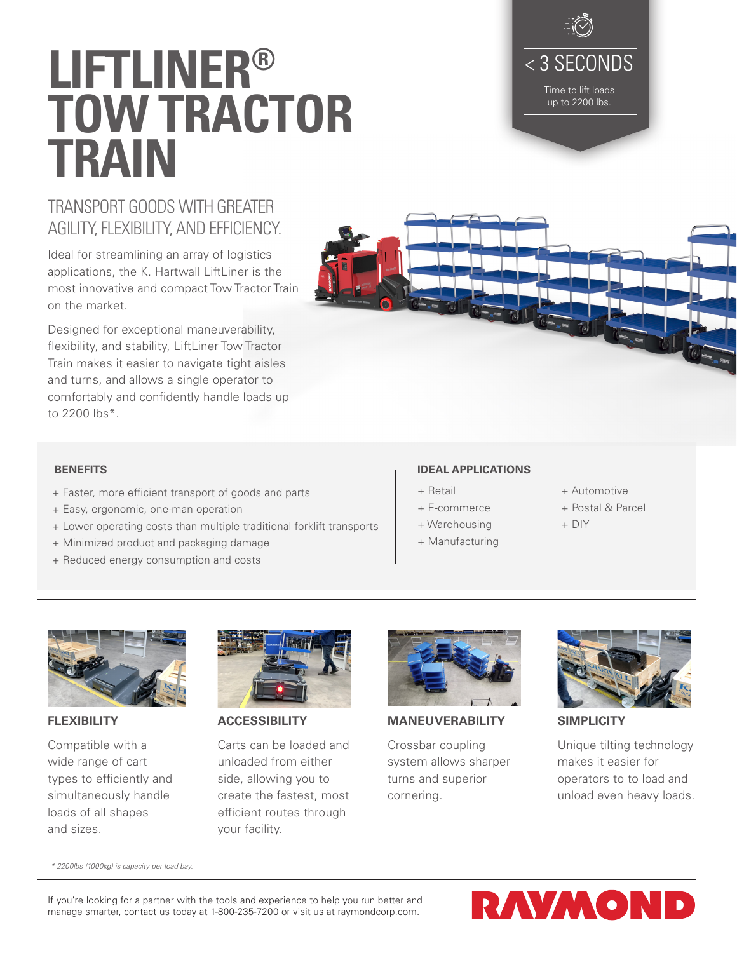If you're looking for a partner with the tools and experience to help you run better and manage smarter, contact us today at 1-800-235-7200 or visit us at raymondcorp.com.

# **LIFTLINER® TOW TRACTOR TRAIN**

### TRANSPORT GOODS WITH GREATER AGILITY, FLEXIBILITY, AND EFFICIENCY.

Ideal for streamlining an array of logistics applications, the K. Hartwall LiftLiner is the most innovative and compact Tow Tractor Train on the market.

Designed for exceptional maneuverability, flexibility, and stability, LiftLiner Tow Tractor Train makes it easier to navigate tight aisles and turns, and allows a single operator to comfortably and confidently handle loads up to 2200 lbs\*.

### **BENEFITS**

**FLEXIBILITY**

and sizes.

Compatible with a wide range of cart types to efficiently and simultaneously handle loads of all shapes

*\* 2200lbs (1000kg) is capacity per load bay.*

- + Faster, more efficient transport of goods and parts
- + Easy, ergonomic, one-man operation
- + Lower operating costs than multiple traditional forklift transports
- + Minimized product and packaging damage
- + Reduced energy consumption and costs

### **IDEAL APPLICATIONS**

- + Retail
- + E-commerce
- + Warehousing
- + Manufacturing

**MANEUVERABILITY**

Crossbar coupling system allows sharper turns and superior

- + Automotive
- + Postal & Parcel
- + DIY



Unique tilting technology makes it easier for operators to to load and unload even heavy loads.

cornering.



**ACCESSIBILITY**

Carts can be loaded and unloaded from either side, allowing you to create the fastest, most efficient routes through your facility.